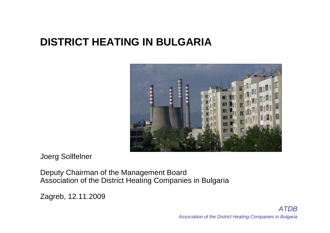### **DISTRICT HEATING IN BULGARIA**



Joerg Sollfelner

Deputy Chairman of the Management Board Association of the District Heating Companies in Bulgaria

Zagreb, 12.11.2009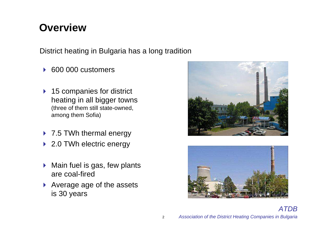### **Overview**

District heating in Bulgaria has a long tradition

- $\blacktriangleright$ 600 000 customers
- ▶ 15 companies for district<br>heating in all higher town heating in all bigger towns (three of them still state-owned, among them Sofia)
- → 7.5 TWh thermal energy
- ▶ 2.0 TWh electric energy
- $\blacktriangleright$  Main fuel is gas, few plants are coal-fired
- Average age of the assets<br>is 30 years is 30 years



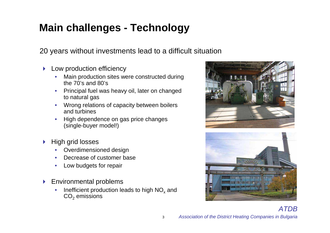# **Main challenges - Technology**

20 years without investments lead to a difficult situation

- **Low production efficiency**<br>Main production sites we
	- $\bullet$  Main production sites were constructed during the  $70's$  and  $80's$
	- • Principal fuel was heavy oil, later on changed to natural gas
	- Wrong relations of capacity between boilers •and turbines
	- High dependence on gas price changes •(single-buyer model!)
- $\blacktriangleright$  High grid losses
	- •Overdimensioned design
	- Decrease of customer base •
	- •Low budgets for repair
- $\blacktriangleright$  Environmental problems
	- $\bullet$ Inefficient production leads to high  $NO<sub>x</sub>$  and  $\mathsf{CO}_2$  emissions

3



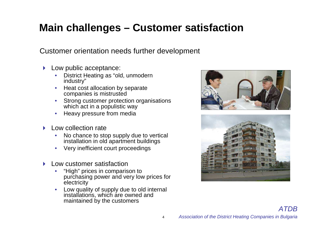# **Main challenges – Customer satisfaction**

Customer orientation needs further development

- Low public acceptance:<br>District Heating as "old
	- $\bullet$  District Heating as "old, unmodernindustry"
	- Heat cost allocation by separate •companies is mistrusted
	- Strong customer protection organisations•which act in a populistic way
	- $\bullet$   $\;$  Heavy pressure from media •
- $\blacktriangleright$  Low collection rate
	- • No chance to stop supply due to vertical installation in old apartment buildings
	- $\bullet$ Very inefficient court proceedings
- $\blacktriangleright$  Low customer satisfaction
	- • "High" prices in comparison to purchasing power and very low prices for **electricity**
	- Low quality of supply due to old internal •installations, which are owned and maintained by the customers

4





ATDB